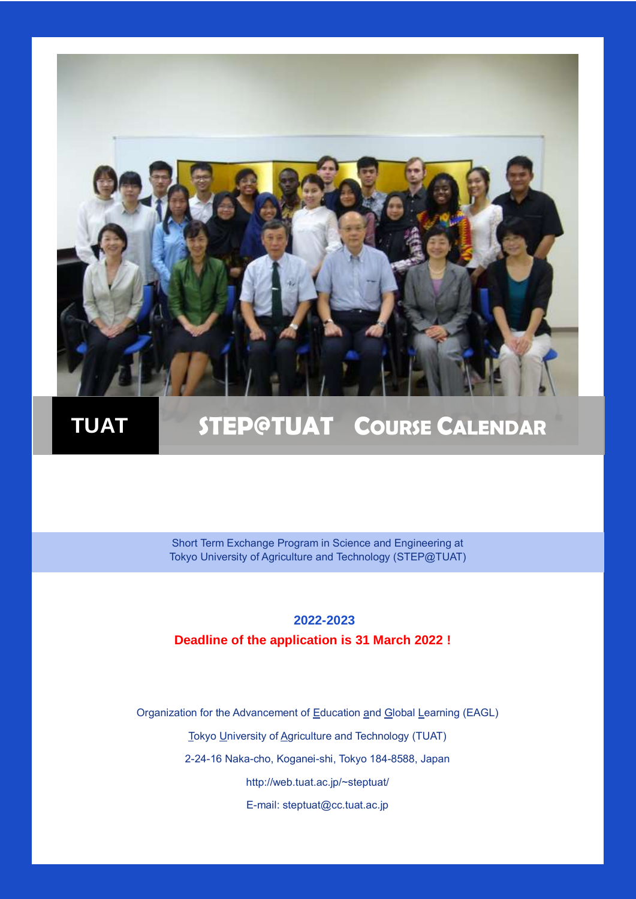

## **TUAT STEP@TUAT COURSE CALENDAR**

Short Term Exchange Program in Science and Engineering at Tokyo University of Agriculture and Technology (STEP@TUAT)

#### **2022-2023 Deadline of the application is 31 March 2022 !**

Organization for the Advancement of Education and Global Learning (EAGL)

Tokyo University of Agriculture and Technology (TUAT)

2-24-16 Naka-cho, Koganei-shi, Tokyo 184-8588, Japan

http://web.tuat.ac.jp/~steptuat/

E-mail: steptuat@cc.tuat.ac.jp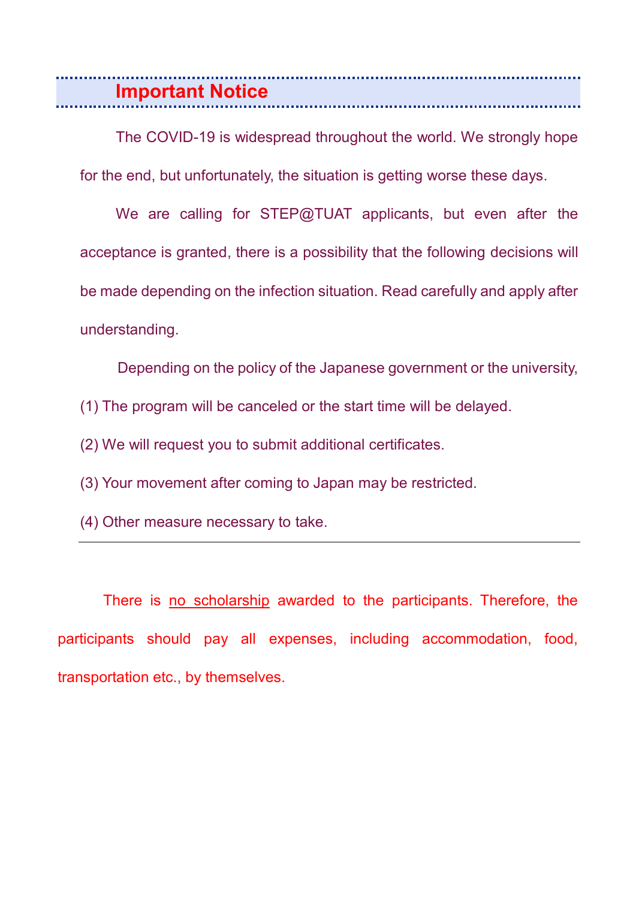**Important Notice** 

The COVID-19 is widespread throughout the world. We strongly hope for the end, but unfortunately, the situation is getting worse these days.

We are calling for STEP@TUAT applicants, but even after the acceptance is granted, there is a possibility that the following decisions will be made depending on the infection situation. Read carefully and apply after understanding.

Depending on the policy of the Japanese government or the university, (1) The program will be canceled or the start time will be delayed.

(2) We will request you to submit additional certificates.

(3) Your movement after coming to Japan may be restricted.

(4) Other measure necessary to take.

 There is no scholarship awarded to the participants. Therefore, the participants should pay all expenses, including accommodation, food, transportation etc., by themselves.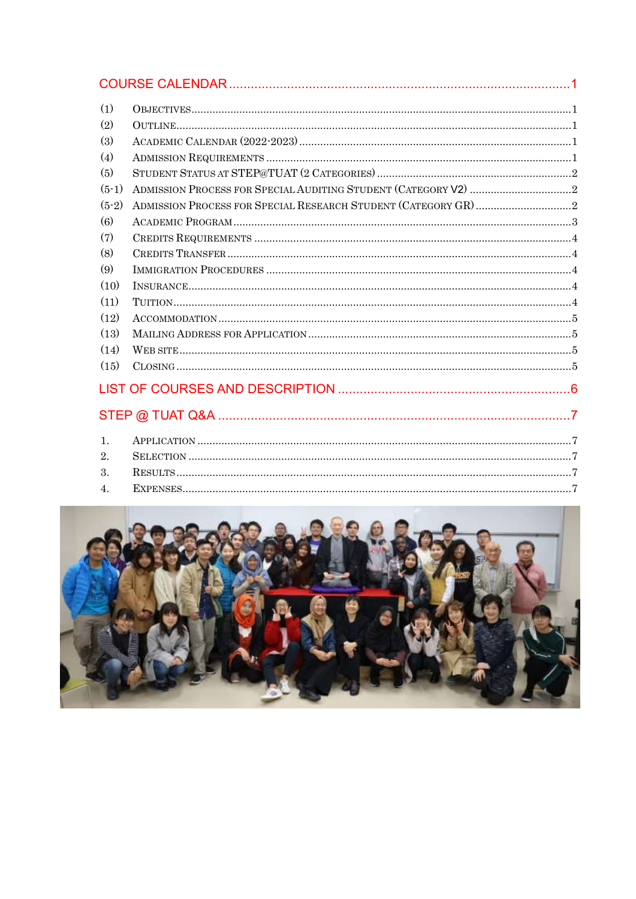| (1)              |  |  |  |  |  |
|------------------|--|--|--|--|--|
| (2)              |  |  |  |  |  |
| (3)              |  |  |  |  |  |
| (4)              |  |  |  |  |  |
| (5)              |  |  |  |  |  |
| $(5-1)$          |  |  |  |  |  |
| $(5-2)$          |  |  |  |  |  |
| (6)              |  |  |  |  |  |
| (7)              |  |  |  |  |  |
| (8)              |  |  |  |  |  |
| (9)              |  |  |  |  |  |
| (10)             |  |  |  |  |  |
| (11)             |  |  |  |  |  |
| (12)             |  |  |  |  |  |
| (13)             |  |  |  |  |  |
| (14)             |  |  |  |  |  |
| (15)             |  |  |  |  |  |
|                  |  |  |  |  |  |
|                  |  |  |  |  |  |
| $\mathbf{1}$ .   |  |  |  |  |  |
| 2.               |  |  |  |  |  |
| 3.               |  |  |  |  |  |
| $\overline{4}$ . |  |  |  |  |  |

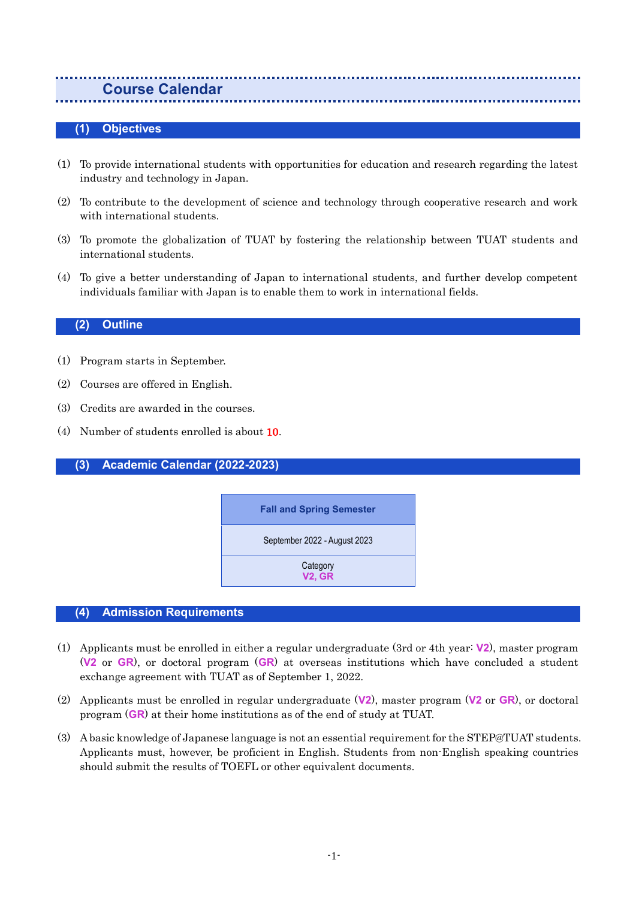#### <span id="page-3-0"></span>**Course Calendar**

#### <span id="page-3-1"></span>**(1) Objectives**

- (1) To provide international students with opportunities for education and research regarding the latest industry and technology in Japan.
- (2) To contribute to the development of science and technology through cooperative research and work with international students.
- (3) To promote the globalization of TUAT by fostering the relationship between TUAT students and international students.
- (4) To give a better understanding of Japan to international students, and further develop competent individuals familiar with Japan is to enable them to work in international fields.

#### <span id="page-3-2"></span>**(2) Outline**

- (1) Program starts in September.
- (2) Courses are offered in English.
- (3) Credits are awarded in the courses.
- (4) Number of students enrolled is about 10.

<span id="page-3-3"></span>**(3) Academic Calendar (2022-2023)**



#### <span id="page-3-4"></span>**(4) Admission Requirements**

- (1) Applicants must be enrolled in either a regular undergraduate (3rd or 4th year: **V2**), master program (**V2** or **GR**), or doctoral program (**GR**) at overseas institutions which have concluded a student exchange agreement with TUAT as of September 1, 2022.
- (2) Applicants must be enrolled in regular undergraduate (**V2**), master program (**V2** or **GR**), or doctoral program (**GR**) at their home institutions as of the end of study at TUAT.
- (3) A basic knowledge of Japanese language is not an essential requirement for the STEP@TUAT students. Applicants must, however, be proficient in English. Students from non-English speaking countries should submit the results of TOEFL or other equivalent documents.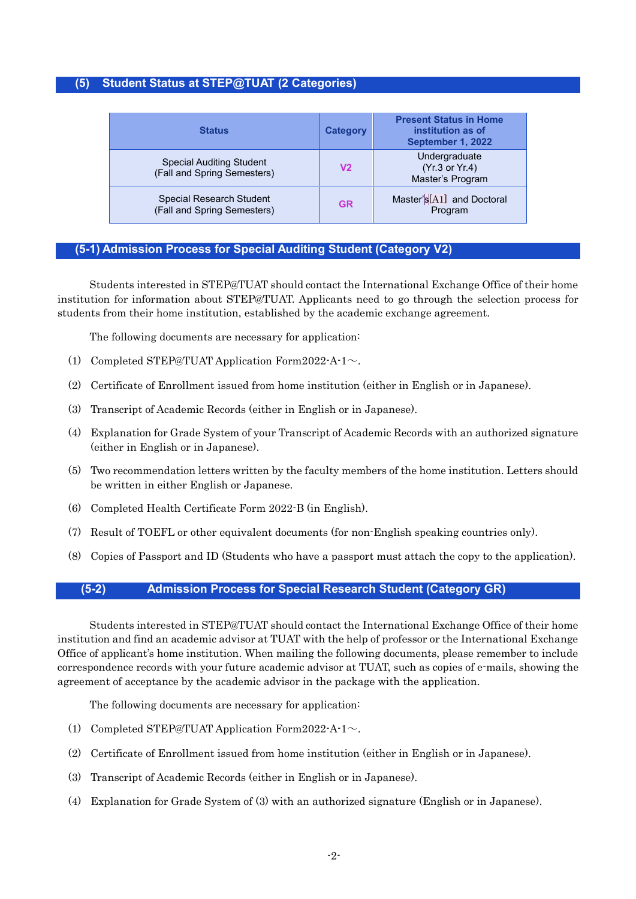#### <span id="page-4-0"></span>**(5) Student Status at STEP@TUAT (2 Categories)**

| <b>Status</b>                                                  | <b>Category</b> | <b>Present Status in Home</b><br>institution as of<br>September 1, 2022 |
|----------------------------------------------------------------|-----------------|-------------------------------------------------------------------------|
| <b>Special Auditing Student</b><br>(Fall and Spring Semesters) | V <sub>2</sub>  | Undergraduate<br>(Yr.3 or Yr.4)<br>Master's Program                     |
| <b>Special Research Student</b><br>(Fall and Spring Semesters) | <b>GR</b>       | Master's[A1] and Doctoral<br>Program                                    |

#### <span id="page-4-1"></span>**(5-1) Admission Process for Special Auditing Student (Category V2)**

Students interested in STEP@TUAT should contact the International Exchange Office of their home institution for information about STEP@TUAT. Applicants need to go through the selection process for students from their home institution, established by the academic exchange agreement.

The following documents are necessary for application:

- (1) Completed STEP@TUAT Application Form2022-A-1~.
- (2) Certificate of Enrollment issued from home institution (either in English or in Japanese).
- (3) Transcript of Academic Records (either in English or in Japanese).
- (4) Explanation for Grade System of your Transcript of Academic Records with an authorized signature (either in English or in Japanese).
- (5) Two recommendation letters written by the faculty members of the home institution. Letters should be written in either English or Japanese.
- (6) Completed Health Certificate Form 2022-B (in English).
- (7) Result of TOEFL or other equivalent documents (for non-English speaking countries only).
- <span id="page-4-2"></span>(8) Copies of Passport and ID (Students who have a passport must attach the copy to the application).

#### **(5-2) Admission Process for Special Research Student (Category GR)**

Students interested in STEP@TUAT should contact the International Exchange Office of their home institution and find an academic advisor at TUAT with the help of professor or the International Exchange Office of applicant's home institution. When mailing the following documents, please remember to include correspondence records with your future academic advisor at TUAT, such as copies of e-mails, showing the agreement of acceptance by the academic advisor in the package with the application.

The following documents are necessary for application:

- (1) Completed STEP@TUAT Application Form2022-A-1~.
- (2) Certificate of Enrollment issued from home institution (either in English or in Japanese).
- (3) Transcript of Academic Records (either in English or in Japanese).
- (4) Explanation for Grade System of (3) with an authorized signature (English or in Japanese).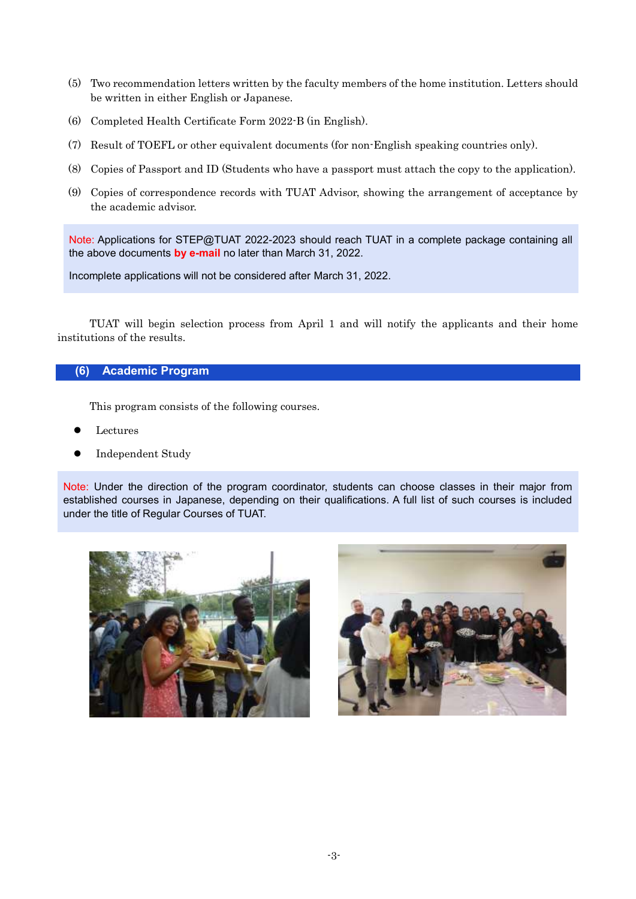- (5) Two recommendation letters written by the faculty members of the home institution. Letters should be written in either English or Japanese.
- (6) Completed Health Certificate Form 2022-B (in English).
- (7) Result of TOEFL or other equivalent documents (for non-English speaking countries only).
- (8) Copies of Passport and ID (Students who have a passport must attach the copy to the application).
- (9) Copies of correspondence records with TUAT Advisor, showing the arrangement of acceptance by the academic advisor.

Note: Applications for STEP@TUAT 2022-2023 should reach TUAT in a complete package containing all the above documents **by e-mail** no later than March 31, 2022.

Incomplete applications will not be considered after March 31, 2022.

TUAT will begin selection process from April 1 and will notify the applicants and their home institutions of the results.

#### <span id="page-5-0"></span>**(6) Academic Program**

This program consists of the following courses.

- Lectures
- Independent Study

Note: Under the direction of the program coordinator, students can choose classes in their major from established courses in Japanese, depending on their qualifications. A full list of such courses is included under the title of Regular Courses of TUAT.



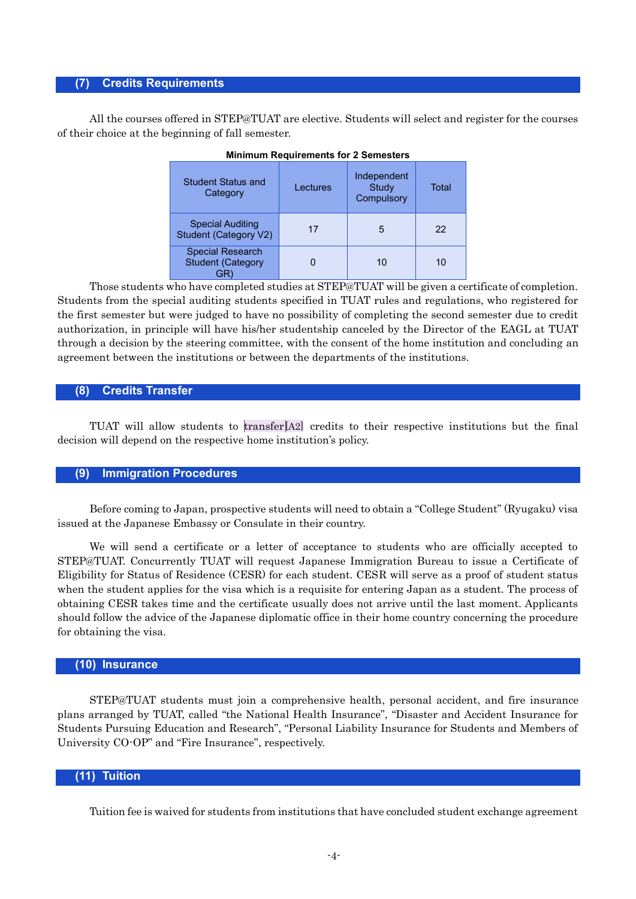#### <span id="page-6-0"></span>**(7) Credits Requirements**

All the courses offered in STEP@TUAT are elective. Students will select and register for the courses of their choice at the beginning of fall semester.

| <b>Student Status and</b><br>Category                   | Lectures | Independent<br>Study<br>Compulsory | Total |
|---------------------------------------------------------|----------|------------------------------------|-------|
| <b>Special Auditing</b><br><b>Student (Category V2)</b> | 17       | 5                                  | 22    |
| <b>Special Research</b><br><b>Student (Category</b>     |          | 10                                 | 10    |

|  |  | <b>Minimum Requirements for 2 Semesters</b> |  |
|--|--|---------------------------------------------|--|
|--|--|---------------------------------------------|--|

Those students who have completed studies at STEP@TUAT will be given a certificate of completion. Students from the special auditing students specified in TUAT rules and regulations, who registered for the first semester but were judged to have no possibility of completing the second semester due to credit authorization, in principle will have his/her studentship canceled by the Director of the EAGL at TUAT through a decision by the steering committee, with the consent of the home institution and concluding an agreement between the institutions or between the departments of the institutions.

#### <span id="page-6-1"></span>**(8) Credits Transfer**

TUAT will allow students to transfer[A2] credits to their respective institutions but the final decision will depend on the respective home institution's policy.

#### <span id="page-6-2"></span>**(9) Immigration Procedures**

Before coming to Japan, prospective students will need to obtain a "College Student" (Ryugaku) visa issued at the Japanese Embassy or Consulate in their country.

We will send a certificate or a letter of acceptance to students who are officially accepted to STEP@TUAT. Concurrently TUAT will request Japanese Immigration Bureau to issue a Certificate of Eligibility for Status of Residence (CESR) for each student. CESR will serve as a proof of student status when the student applies for the visa which is a requisite for entering Japan as a student. The process of obtaining CESR takes time and the certificate usually does not arrive until the last moment. Applicants should follow the advice of the Japanese diplomatic office in their home country concerning the procedure for obtaining the visa.

#### <span id="page-6-3"></span>**(10) Insurance**

STEP@TUAT students must join a comprehensive health, personal accident, and fire insurance plans arranged by TUAT, called "the National Health Insurance", "Disaster and Accident Insurance for Students Pursuing Education and Research", "Personal Liability Insurance for Students and Members of University CO-OP" and "Fire Insurance", respectively.

#### <span id="page-6-4"></span>**(11) Tuition**

Tuition fee is waived for students from institutions that have concluded student exchange agreement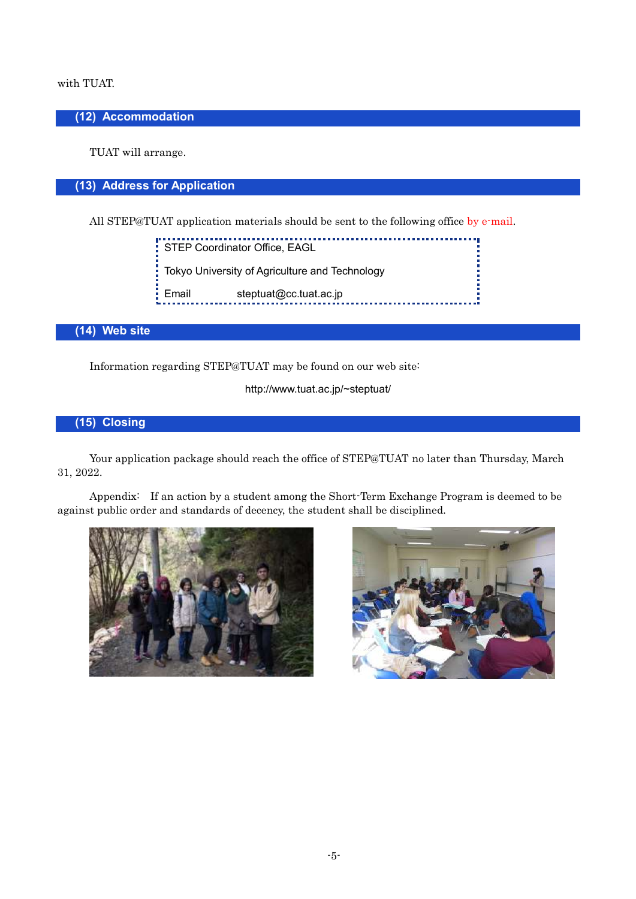#### with TUAT.

#### <span id="page-7-0"></span>**(12) Accommodation**

TUAT will arrange.

#### <span id="page-7-1"></span>**(13) Address for Application**

All STEP@TUAT application materials should be sent to the following office by e-mail.

**F** STEP Coordinator Office, EAGL<br>STEP Coordinator Office, EAGL Tokyo University of Agriculture and Technology I. Email steptuat@cc.tuat.ac.jp

#### <span id="page-7-2"></span>**(14) Web site**

Information regarding STEP@TUAT may be found on our web site:

http://www.tuat.ac.jp/~steptuat/

#### <span id="page-7-3"></span>**(15) Closing**

Your application package should reach the office of STEP@TUAT no later than Thursday, March 31, 2022.

Appendix: If an action by a student among the Short-Term Exchange Program is deemed to be against public order and standards of decency, the student shall be disciplined.



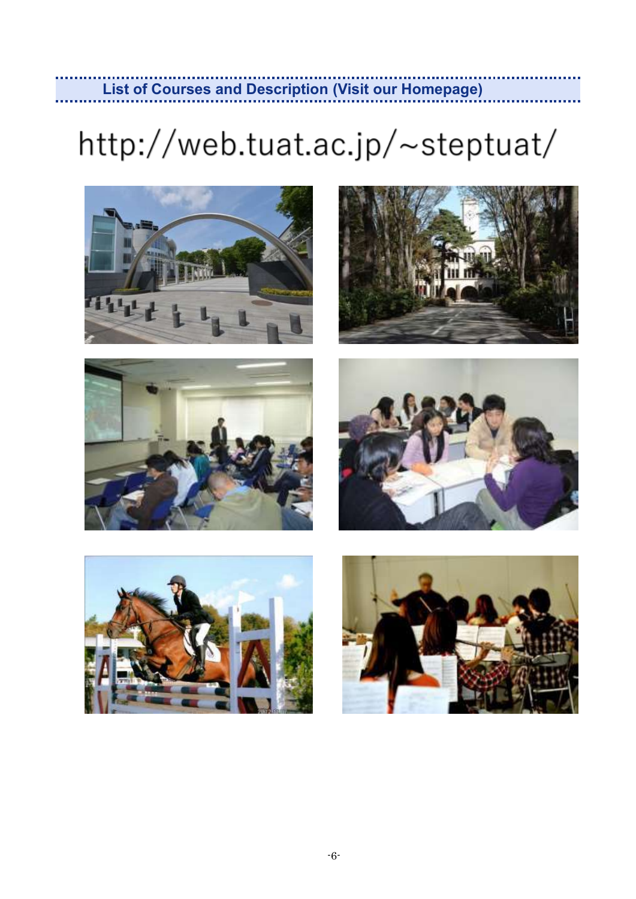# <span id="page-8-0"></span>http://web.tuat.ac.jp/~steptuat/

**List of Courses and Description (Visit our Homepage)**











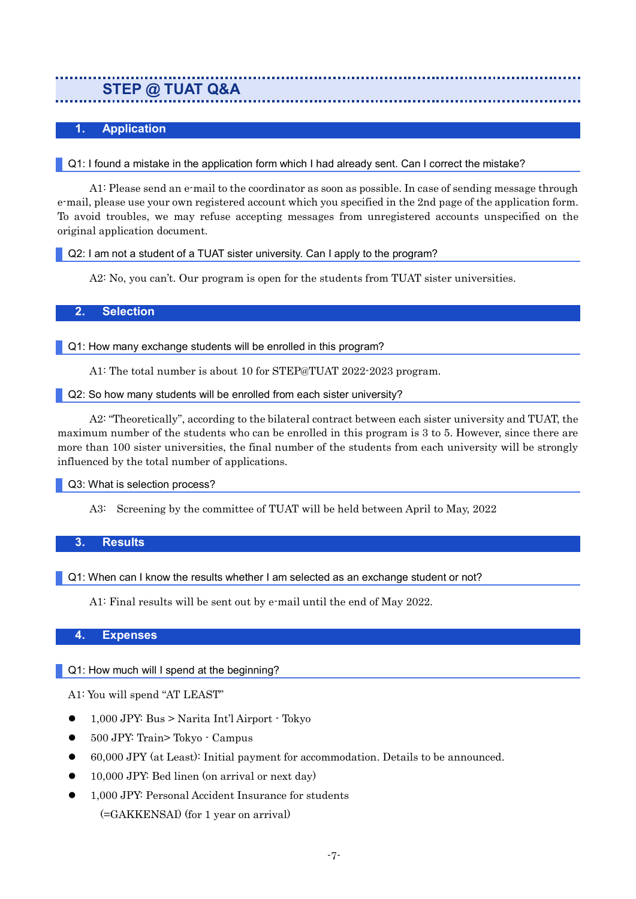### <span id="page-9-0"></span>**STEP @ TUAT Q&A**

#### <span id="page-9-1"></span>**1. Application**

#### Q1: I found a mistake in the application form which I had already sent. Can I correct the mistake?

A1: Please send an e-mail to the coordinator as soon as possible. In case of sending message through e-mail, please use your own registered account which you specified in the 2nd page of the application form. To avoid troubles, we may refuse accepting messages from unregistered accounts unspecified on the original application document.

Q2: I am not a student of a TUAT sister university. Can I apply to the program?

A2: No, you can't. Our program is open for the students from TUAT sister universities.

#### <span id="page-9-2"></span>**2. Selection**

Q1: How many exchange students will be enrolled in this program?

A1: The total number is about 10 for STEP@TUAT 2022-2023 program.

#### Q2: So how many students will be enrolled from each sister university?

A2: "Theoretically", according to the bilateral contract between each sister university and TUAT, the maximum number of the students who can be enrolled in this program is 3 to 5. However, since there are more than 100 sister universities, the final number of the students from each university will be strongly influenced by the total number of applications.

Q3: What is selection process?

A3: Screening by the committee of TUAT will be held between April to May, 2022

#### <span id="page-9-3"></span>**3. Results**

Q1: When can I know the results whether I am selected as an exchange student or not?

A1: Final results will be sent out by e-mail until the end of May 2022.

#### <span id="page-9-4"></span>**4. Expenses**

#### Q1: How much will I spend at the beginning?

A1: You will spend "AT LEAST"

- 1,000 JPY: Bus > Narita Int'l Airport Tokyo
- 500 JPY: Train> Tokyo Campus
- 60,000 JPY (at Least): Initial payment for accommodation. Details to be announced.
- 10,000 JPY: Bed linen (on arrival or next day)
- 1,000 JPY: Personal Accident Insurance for students (=GAKKENSAI) (for 1 year on arrival)